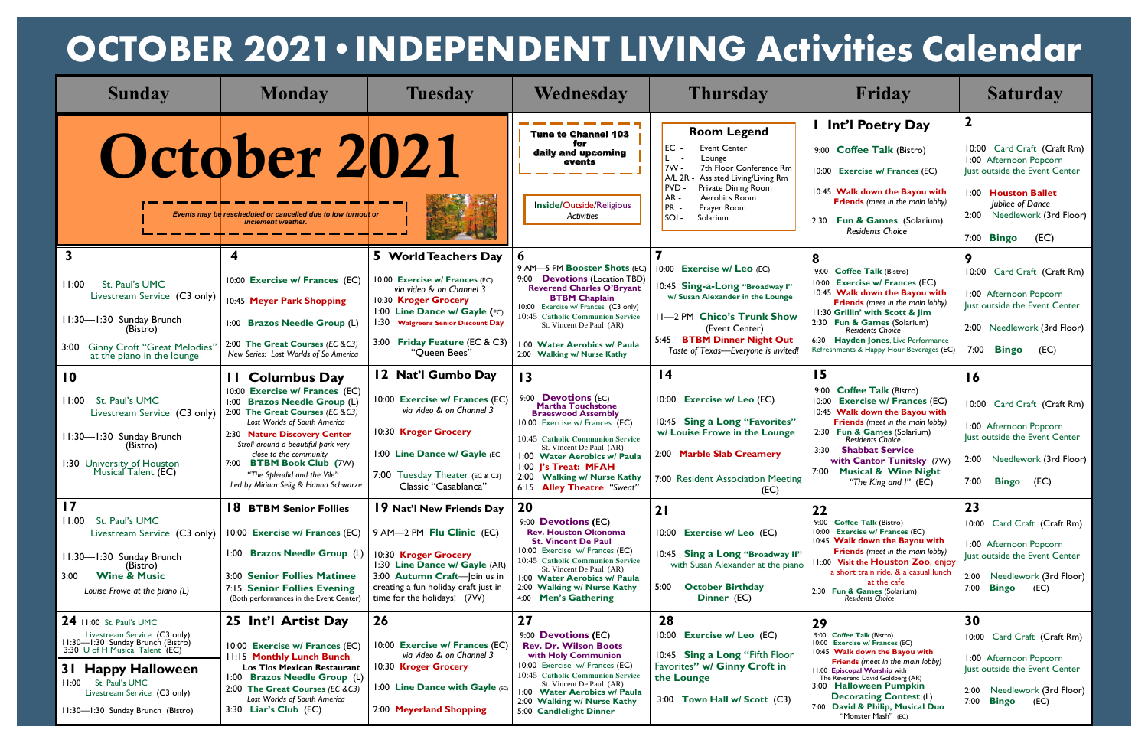| <b>Sunday</b>                                                                                                                                                                                                                                         | <b>Monday</b>                                                                                                                                                                                                                                                                                                                                                   | <b>Tuesday</b>                                                                                                                                                                                                                     | Wednesday                                                                                                                                                                                                                                                                                                                     | <b>Thursday</b>                                                                                                                                                                                                                                               | Friday                                                                                                                                                                                                                                                                                                                                                          | <b>Saturday</b>                                                                                                                                                                                                 |
|-------------------------------------------------------------------------------------------------------------------------------------------------------------------------------------------------------------------------------------------------------|-----------------------------------------------------------------------------------------------------------------------------------------------------------------------------------------------------------------------------------------------------------------------------------------------------------------------------------------------------------------|------------------------------------------------------------------------------------------------------------------------------------------------------------------------------------------------------------------------------------|-------------------------------------------------------------------------------------------------------------------------------------------------------------------------------------------------------------------------------------------------------------------------------------------------------------------------------|---------------------------------------------------------------------------------------------------------------------------------------------------------------------------------------------------------------------------------------------------------------|-----------------------------------------------------------------------------------------------------------------------------------------------------------------------------------------------------------------------------------------------------------------------------------------------------------------------------------------------------------------|-----------------------------------------------------------------------------------------------------------------------------------------------------------------------------------------------------------------|
|                                                                                                                                                                                                                                                       | October 2021<br>Events may be rescheduled or cancelled due to low turnout or<br>inclement weather.                                                                                                                                                                                                                                                              |                                                                                                                                                                                                                                    | <b>Tune to Channel 103</b><br>for<br>daily and upcoming<br>events<br>Inside/Outside/Religious<br>Activities                                                                                                                                                                                                                   | <b>Room Legend</b><br>EC -<br><b>Event Center</b><br>L.<br>Lounge<br> 7W -<br>7th Floor Conference Rm<br>AL 2R<br>Assisted Living/Living Rm<br><b>PVD</b><br><b>Private Dining Room</b><br>$AR -$<br>Aerobics Room<br>PR -<br>Prayer Room<br>SOL-<br>Solarium | Int'l Poetry Day<br>9:00 Coffee Talk (Bistro)<br>10:00 Exercise w/ Frances (EC)<br>10:45 Walk down the Bayou with<br>Friends (meet in the main lobby)<br>2:30 Fun & Games (Solarium)<br><b>Residents Choice</b>                                                                                                                                                 | $\mathbf 2$<br>10:00 Card Craft (Craft Rm)<br>1:00 Afternoon Popcorn<br>lust outside the Event Center<br>1:00 Houston Ballet<br>Jubilee of Dance<br>Needlework (3rd Floor)<br>2:00<br>7:00 <b>Bingo</b><br>(EC) |
| St. Paul's UMC<br>11:00<br>Livestream Service (C3 only)<br>11:30-1:30 Sunday Brunch<br>(Bistro)<br>3:00 Ginny Croft "Great Melodies"<br>at the piano in the lounge                                                                                    | 10:00 Exercise w/ Frances (EC)<br>10:45 Meyer Park Shopping<br>1:00 Brazos Needle Group (L)<br>2:00 The Great Courses (EC &C3)<br>New Series: Lost Worlds of So America                                                                                                                                                                                         | 5 World Teachers Day<br>10:00 Exercise w/ Frances (EC)<br>via video & on Channel 3<br>10:30 Kroger Grocery<br>1:00 Line Dance w/ Gayle (EC)<br>1:30 Walgreens Senior Discount Day<br>3:00 Friday Feature (EC & C3)<br>"Queen Bees" | 9 AM-5 PM Booster Shots (EC)<br>9:00 <b>Devotions</b> (Location TBD)<br><b>Reverend Charles O'Bryant</b><br><b>BTBM Chaplain</b><br>10:00 Exercise w/ Frances (C3 only)<br>10:45 Catholic Communion Service<br>St. Vincent De Paul (AR)<br>1:00 Water Aerobics w/ Paula<br>2:00 Walking w/ Nurse Kathy                        | 10:00 Exercise w/ Leo (EC)<br>10:45 Sing-a-Long "Broadway I"<br>w/ Susan Alexander in the Lounge<br>11-2 PM Chico's Trunk Show<br>(Event Center)<br>5:45 BTBM Dinner Night Out<br>Taste of Texas-Everyone is invited!                                         | 8<br>9:00 Coffee Talk (Bistro)<br><b>Exercise w/ Frances (EC)</b><br>10:00<br>10:45 Walk down the Bayou with<br><b>Friends</b> (meet in the main lobby)<br>11:30 Grillin' with Scott & Jim<br>2:30 Fun & Games (Solarium)<br>Residents Choice<br>6:30 Hayden Jones, Live Performance<br>Refreshments & Happy Hour Beverages (EC)                                | 9<br>10:00 Card Craft (Craft Rm)<br>1:00 Afternoon Popcorn<br>Just outside the Event Center<br>2:00 Needlework (3rd Floor)<br>7:00<br><b>Bingo</b><br>(EC)                                                      |
| $\overline{10}$<br>St. Paul's UMC<br>11:00<br>Livestream Service (C3 only)<br>11:30-1:30 Sunday Brunch<br>(Bistro)<br>1:30 University of Houston<br>Musical Talent (EC)                                                                               | <b>11 Columbus Day</b><br>10:00 Exercise w/ Frances (EC)<br>1:00 Brazos Needle Group (L)<br>2:00 The Great Courses (EC &C3)<br>Lost Worlds of South America<br>2:30 Nature Discovery Center<br>Stroll around a beautiful park very<br>close to the community<br>7:00 BTBM Book Club (7W)<br>"The Splendid and the Vile"<br>Led by Miriam Selig & Hanna Schwarze | 12 Nat'l Gumbo Day<br>10:00 Exercise w/ Frances (EC)<br>via video & on Channel 3<br>10:30 Kroger Grocery<br>1:00 Line Dance w/ Gayle (EC<br>7:00 Tuesday Theater (EC & C3)<br>Classic "Casablanca"                                 | $\overline{13}$<br>9:00 <b>Devotions</b> (EC)<br><b>Martha Touchstone</b><br><b>Braeswood Assembly</b><br>10:00 Exercise w/ Frances (EC)<br>10:45 Catholic Communion Service<br>St. Vincent De Paul (AR)<br>1:00 Water Aerobics w/ Paula<br>1:00 J's Treat: MFAH<br>2:00 Walking w/ Nurse Kathy<br>6:15 Alley Theatre "Sweat" | $\overline{14}$<br>10:00 Exercise w/ Leo (EC)<br>10:45 Sing a Long "Favorites"<br>w/ Louise Frowe in the Lounge<br>2:00 Marble Slab Creamery<br>7:00 Resident Association Meeting<br>(EC)                                                                     | 15<br>9:00<br><b>Coffee Talk (Bistro)</b><br><b>Exercise w/ Frances (EC)</b><br>10:00<br>10:45 Walk down the Bayou with<br><b>Friends</b> (meet in the main lobby)<br>2:30 Fun & Games (Solarium)<br><b>Residents Choice</b><br><b>Shabbat Service</b><br>3:30<br>with Cantor Tunitsky (7W)<br><b>Musical &amp; Wine Night</b><br>7:00<br>"The King and I" (EC) | 16<br>10:00 Card Craft (Craft Rm)<br>1:00 Afternoon Popcorn<br>Just outside the Event Center<br>2:00 Needlework (3rd Floor)<br>7:00<br><b>Bingo</b> (EC)                                                        |
| $\overline{17}$<br>St. Paul's UMC<br>11:00<br>Livestream Service (C3 only)<br>11:30-1:30 Sunday Brunch<br>(Bistro)<br><b>Wine &amp; Music</b><br>3:00<br>Louise Frowe at the piano (L)                                                                | <b>18 BTBM Senior Follies</b><br>10:00 Exercise w/ Frances (EC)<br>1:00 Brazos Needle Group (L)<br>3:00 Senior Follies Matinee<br>7:15 Senior Follies Evening<br>(Both performances in the Event Center)                                                                                                                                                        | 19 Nat'l New Friends Day<br>9 AM-2 PM Flu Clinic (EC)<br>10:30 Kroger Grocery<br>1:30 Line Dance w/ Gayle (AR)<br>3:00 Autumn Craft-Join us in<br>creating a fun holiday craft just in<br>time for the holidays! (7W)              | <b>20</b><br>9:00 <b>Devotions</b> (EC)<br><b>Rev. Houston Okonoma</b><br><b>St. Vincent De Paul</b><br>10:00 Exercise w/ Frances (EC)<br>10:45 Catholic Communion Service<br>St. Vincent De Paul (AR)<br>1:00 Water Aerobics w/ Paula<br>2:00 Walking w/ Nurse Kathy<br>4:00 Men's Gathering                                 | 21<br>10:00 Exercise w/ Leo (EC)<br>10:45 Sing a Long "Broadway II"<br>with Susan Alexander at the piano<br><b>October Birthday</b><br>5:00<br>Dinner (EC)                                                                                                    | 22<br>9:00 Coffee Talk (Bistro)<br>10:00<br><b>Exercise w/ Frances (EC)</b><br>10:45 Walk down the Bayou with<br><b>Friends</b> (meet in the main lobby)<br>11:00 Visit the Houston Zoo, enjoy<br>a short train ride, & a casual lunch<br>at the cafe<br>2:30 Fun & Games (Solarium)<br><b>Residents Choice</b>                                                 | 23<br>10:00 Card Craft (Craft Rm)<br>1:00 Afternoon Popcorn<br>Just outside the Event Center<br>2:00 Needlework (3rd Floor)<br>7:00 <b>Bingo</b><br>(EC)                                                        |
| 24 11:00 St. Paul's UMC<br>Livestream Service (C3 only)<br>11:30-1:30 Sunday Brunch (Bistro)<br>3:30 U of H Musical Talent (EC)<br>31 Happy Halloween<br>St. Paul's UMC<br>11:00<br>Livestream Service (C3 only)<br>11:30-1:30 Sunday Brunch (Bistro) | 25 Int'l Artist Day<br>10:00 Exercise w/ Frances (EC)<br>11:15 Monthly Lunch Bunch<br><b>Los Tios Mexican Restaurant</b><br>1:00 Brazos Needle Group (L)<br>2:00 The Great Courses (EC &C3)<br>Lost Worlds of South America<br>3:30 Liar's Club (EC)                                                                                                            | 26<br>10:00 Exercise w/ Frances (EC)<br>via video & on Channel 3<br>10:30 Kroger Grocery<br>1:00 Line Dance with Gayle (EC)<br>2:00 Meyerland Shopping                                                                             | 27<br>9:00 <b>Devotions</b> (EC)<br><b>Rev. Dr. Wilson Boots</b><br>with Holy Communion<br>10:00 Exercise w/ Frances (EC)<br>10:45 Catholic Communion Service<br>St. Vincent De Paul (AR)<br>1:00 Water Aerobics w/ Paula<br>2:00 Walking w/ Nurse Kathy<br>5:00 Candlelight Dinner                                           | 28<br>Exercise w/ Leo (EC)<br>10:00<br>10:45 Sing a Long "Fifth Floor<br>Favorites" w/ Ginny Croft in<br>the Lounge<br>3:00 Town Hall w/ Scott (C3)                                                                                                           | 29<br>9:00 Coffee Talk (Bistro)<br>10:00 Exercise w/ Frances (EC)<br>10:45 Walk down the Bayou with<br><b>Friends</b> (meet in the main lobby)<br>11:00 Episcopal Worship with<br>The Reverend David Goldberg (AR)<br>3:00 Halloween Pumpkin<br><b>Decorating Contest (L)</b><br>7:00 David & Philip, Musical Duo<br>"Monster Mash" (EC)                        | 30<br>10:00 Card Craft (Craft Rm)<br>1:00 Afternoon Popcorn<br>Just outside the Event Center<br>2:00 Needlework (3rd Floor)<br>7:00 <b>Bingo</b><br>(EC)                                                        |

## **OCTOBER 2021•INDEPENDENT LIVING Activities Calendar**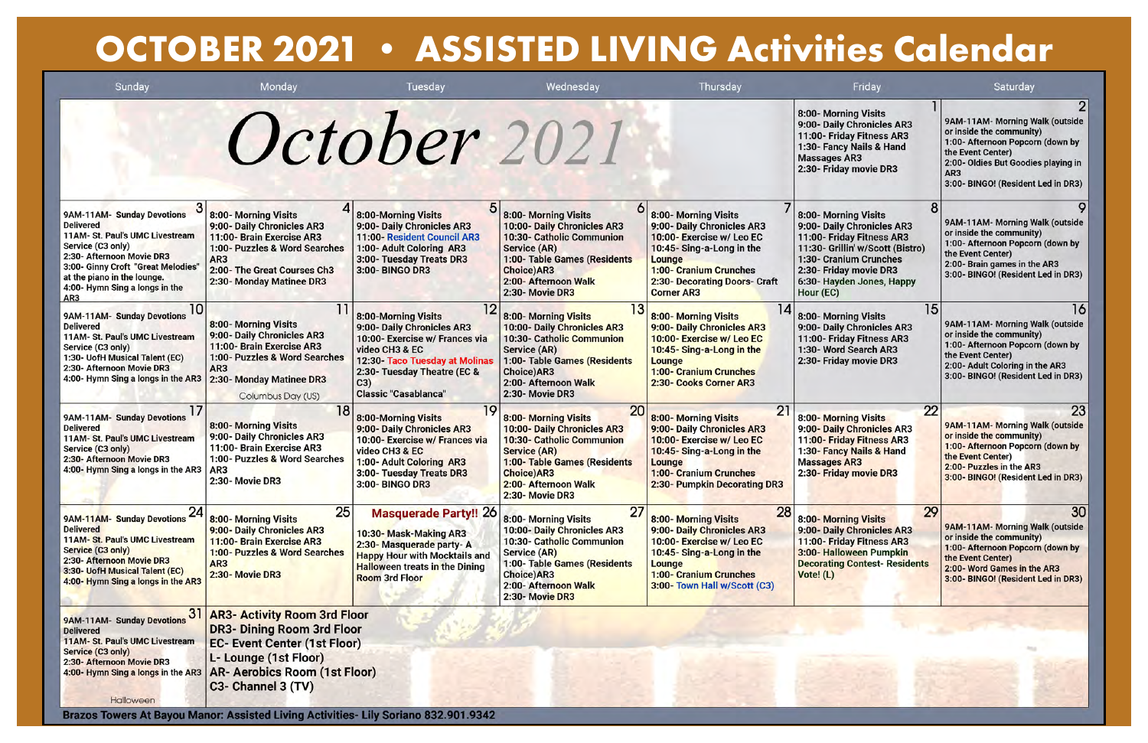## **OCTOBER 2021 • ASSISTED LIVING Activities Calendar**

| Sunday                                                                                                                                                                                                                                            | Monday                                                                                                                                                                                         | Tuesday                                                                                                                                                                                                     | Wednesday                                                                                                                                                                                                                   | Thursday                                                                                                                                                                                            | Friday                                                                                                                                                                                                            | Saturday                                                                                                                                                                                                             |
|---------------------------------------------------------------------------------------------------------------------------------------------------------------------------------------------------------------------------------------------------|------------------------------------------------------------------------------------------------------------------------------------------------------------------------------------------------|-------------------------------------------------------------------------------------------------------------------------------------------------------------------------------------------------------------|-----------------------------------------------------------------------------------------------------------------------------------------------------------------------------------------------------------------------------|-----------------------------------------------------------------------------------------------------------------------------------------------------------------------------------------------------|-------------------------------------------------------------------------------------------------------------------------------------------------------------------------------------------------------------------|----------------------------------------------------------------------------------------------------------------------------------------------------------------------------------------------------------------------|
|                                                                                                                                                                                                                                                   |                                                                                                                                                                                                | October 2021                                                                                                                                                                                                |                                                                                                                                                                                                                             |                                                                                                                                                                                                     | 8:00- Morning Visits<br>9:00- Daily Chronicles AR3<br>11:00- Friday Fitness AR3<br>1:30- Fancy Nails & Hand<br><b>Massages AR3</b><br>2:30- Friday movie DR3                                                      | 9AM-11AM- Morning Walk (outside<br>or inside the community)<br>1:00- Afternoon Popcorn (down by<br>the Event Center)<br>2:00- Oldies But Goodies playing in<br>AR <sub>3</sub><br>3:00- BINGO! (Resident Led in DR3) |
| 9AM-11AM- Sunday Devotions<br><b>Delivered</b><br>11AM- St. Paul's UMC Livestream<br>Service (C3 only)<br>2:30- Afternoon Movie DR3<br>3:00- Ginny Croft "Great Melodies"<br>at the piano in the lounge.<br>4:00- Hymn Sing a longs in the<br>AR3 | 8:00- Morning Visits<br>9:00- Daily Chronicles AR3<br>11:00- Brain Exercise AR3<br>1:00- Puzzles & Word Searches<br>AR <sub>3</sub><br>2:00- The Great Courses Ch3<br>2:30- Monday Matinee DR3 | 8:00-Morning Visits<br>9:00- Daily Chronicles AR3<br>11:00- Resident Council AR3<br>1:00- Adult Coloring AR3<br>3:00- Tuesday Treats DR3<br>3:00- BINGO DR3                                                 | 8:00- Morning Visits<br>10:00- Daily Chronicles AR3<br>10:30- Catholic Communion<br>Service (AR)<br>1:00- Table Games (Residents<br><b>Choice)AR3</b><br>2:00- Afternoon Walk<br>2:30- Movie DR3                            | 8:00- Morning Visits<br>9:00- Daily Chronicles AR3<br>10:00-Exercise w/Leo EC<br>10:45-Sing-a-Long in the<br>Lounge<br>1:00- Cranium Crunches<br>2:30- Decorating Doors- Craft<br><b>Corner AR3</b> | 8:00- Morning Visits<br>9:00- Daily Chronicles AR3<br>11:00- Friday Fitness AR3<br>11:30- Grillin' w/Scott (Bistro)<br>1:30- Cranium Crunches<br>2:30- Friday movie DR3<br>6:30- Hayden Jones, Happy<br>Hour (EC) | 9AM-11AM- Morning Walk (outside<br>or inside the community)<br>1:00- Afternoon Popcorn (down by<br>the Event Center)<br>2:00- Brain games in the AR3<br>3:00- BINGO! (Resident Led in DR3)                           |
| 10<br>9AM-11AM- Sunday Devotions<br><b>Delivered</b><br>11AM- St. Paul's UMC Livestream<br>Service (C3 only)<br>1:30- UofH Musical Talent (EC)<br>2:30- Afternoon Movie DR3<br>4:00- Hymn Sing a longs in the AR3                                 | 8:00- Morning Visits<br>9:00- Daily Chronicles AR3<br>11:00- Brain Exercise AR3<br>1:00- Puzzles & Word Searches<br>AR <sub>3</sub><br>2:30- Monday Matinee DR3<br>Columbus Day (US)           | 8:00-Morning Visits<br>9:00- Daily Chronicles AR3<br>10:00- Exercise w/ Frances via<br>video CH3 & EC<br>12:30 Taco Tuesday at Molinas<br>2:30- Tuesday Theatre (EC &<br>C3)<br><b>Classic "Casablanca"</b> | 8:00- Morning Visits<br>10:00- Daily Chronicles AR3<br>10:30- Catholic Communion<br>Service (AR)<br>1:00- Table Games (Residents<br><b>Choice)AR3</b><br>2:00- Afternoon Walk<br>2:30- Movie DR3                            | 8:00-Morning Visits<br>9:00- Daily Chronicles AR3<br>10:00- Exercise w/ Leo EC<br>10:45-Sing-a-Long in the<br>Lounge<br><b>1:00- Cranium Crunches</b><br>2:30- Cooks Corner AR3                     | 15<br>8:00- Morning Visits<br>9:00- Daily Chronicles AR3<br>11:00- Friday Fitness AR3<br>1:30- Word Search AR3<br>2:30- Friday movie DR3                                                                          | 16<br>9AM-11AM- Morning Walk (outside<br>or inside the community)<br>1:00- Afternoon Popcorn (down by<br>the Event Center)<br>2:00- Adult Coloring in the AR3<br>3:00- BINGO! (Resident Led in DR3)                  |
| 9AM-11AM- Sunday Devotions<br><b>Delivered</b><br>11AM- St. Paul's UMC Livestream<br>Service (C3 only)<br>2:30- Afternoon Movie DR3<br>4:00- Hymn Sing a longs in the AR3                                                                         | 18<br>8:00- Morning Visits<br>9:00- Daily Chronicles AR3<br>11:00- Brain Exercise AR3<br>1:00- Puzzles & Word Searches<br>AR <sub>3</sub><br>2:30- Movie DR3                                   | 8:00-Morning Visits<br>9:00- Daily Chronicles AR3<br>10:00- Exercise w/ Frances via<br>video CH3 & EC<br>1:00- Adult Coloring AR3<br>3:00- Tuesday Treats DR3<br>3:00- BINGO DR3                            | 20<br>8:00- Morning Visits<br>10:00- Daily Chronicles AR3<br><b>10:30- Catholic Communion</b><br><b>Service (AR)</b><br>1:00- Table Games (Residents<br><b>Choice)AR3</b><br>2:00- Afternoon Walk<br><b>2:30- Movie DR3</b> | 21<br>8:00- Morning Visits<br>9:00- Daily Chronicles AR3<br>10:00- Exercise w/ Leo EC<br>10:45-Sing-a-Long in the<br>Lounge<br><b>1:00- Cranium Crunches</b><br>2:30- Pumpkin Decorating DR3        | 22<br>8:00- Morning Visits<br>9:00- Daily Chronicles AR3<br>11:00- Friday Fitness AR3<br>1:30- Fancy Nails & Hand<br><b>Massages AR3</b><br>2:30- Friday movie DR3                                                | 23<br>9AM-11AM- Morning Walk (outside<br>or inside the community)<br>1:00- Afternoon Popcorn (down by<br>the Event Center)<br>2:00- Puzzles in the AR3<br>3:00- BINGO! (Resident Led in DR3)                         |
| 9AM <mark>-11AM- Sunday Devotions 24</mark><br><b>Delivered</b><br>11AM-St. Paul's UMC Livestream<br>Service (C3 only)<br>2:30- Afternoon Movie DR3<br>3:30- UofH Musical Talent (EC)<br>4:00- Hymn Sing a longs in the AR3                       | 25<br>8:00- Morning Visits<br>9:00- Daily Chronicles AR3<br>11:00- Brain Exercise AR3<br>1:00- Puzzles & Word Searches<br>AR <sub>3</sub><br><b>2:30-Movie DR3</b>                             | <b>Masquerade Party!! 26</b><br>10:30- Mask-Making AR3<br>2:30- Masquerade party- A<br><b>Happy Hour with Mocktails and</b><br><b>Halloween treats in the Dining</b><br><b>Room 3rd Floor</b>               | 27<br>8:00- Morning Visits<br>10:00- Daily Chronicles AR3<br>10:30- Catholic Communion<br>Service (AR)<br>1:00- Table Games (Residents<br>Choice)AR3<br>2:00- Afternoon Walk<br>2:30- Movie DR3                             | 28<br>8:00- Morning Visits<br>9:00- Daily Chronicles AR3<br>10:00-Exercise w/Leo EC<br>10:45-Sing-a-Long in the<br>Lounge<br><b>1:00- Cranium Crunches</b><br>3:00- Town Hall w/Scott (C3)          | 29<br>8:00- Morning Visits<br>9:00- Daily Chronicles AR3<br>11:00- Friday Fitness AR3<br>3:00-Halloween Pumpkin<br><b>Decorating Contest-Residents</b><br>Vote! (L)                                               | 30<br>9AM-11AM- Morning Walk (outside<br>or inside the community)<br>1:00- Afternoon Popcorn (down by<br>the Event Center)<br>2:00- Word Games in the AR3<br>3:00- BINGO! (Resident Led in DR3)                      |
| 3 <sup>1</sup><br>9AM-11AM- Sunday Devotions<br><b>Delivered</b><br>11AM- St. Paul's UMC Livestream<br>Service (C3 only)<br>2:30- Afternoon Movie DR3                                                                                             | <b>AR3- Activity Room 3rd Floor</b><br><b>DR3- Dining Room 3rd Floor</b><br><b>EC- Event Center (1st Floor)</b><br>L- Lounge (1st Floor)                                                       |                                                                                                                                                                                                             |                                                                                                                                                                                                                             |                                                                                                                                                                                                     |                                                                                                                                                                                                                   |                                                                                                                                                                                                                      |

4:00- Hymn Sing a longs in the AR3 AR- Aerobics Room (1st Floor) C3- Channel 3 (TV)

Halloween Brazos Towers At Bayou Manor: Assisted Living Activities- Lily Soriano 832.901.9342